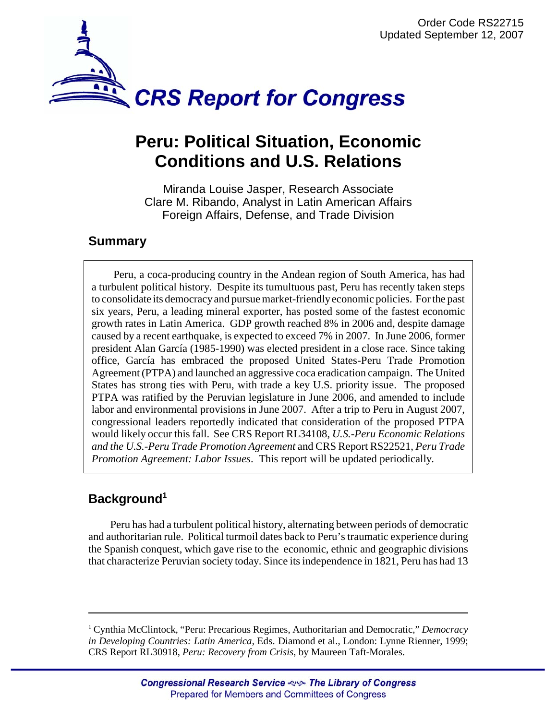

# **Peru: Political Situation, Economic Conditions and U.S. Relations**

Miranda Louise Jasper, Research Associate Clare M. Ribando, Analyst in Latin American Affairs Foreign Affairs, Defense, and Trade Division

# **Summary**

Peru, a coca-producing country in the Andean region of South America, has had a turbulent political history. Despite its tumultuous past, Peru has recently taken steps to consolidate its democracy and pursue market-friendly economic policies. For the past six years, Peru, a leading mineral exporter, has posted some of the fastest economic growth rates in Latin America. GDP growth reached 8% in 2006 and, despite damage caused by a recent earthquake, is expected to exceed 7% in 2007. In June 2006, former president Alan García (1985-1990) was elected president in a close race. Since taking office, García has embraced the proposed United States-Peru Trade Promotion Agreement (PTPA) and launched an aggressive coca eradication campaign. The United States has strong ties with Peru, with trade a key U.S. priority issue. The proposed PTPA was ratified by the Peruvian legislature in June 2006, and amended to include labor and environmental provisions in June 2007. After a trip to Peru in August 2007, congressional leaders reportedly indicated that consideration of the proposed PTPA would likely occur this fall. See CRS Report RL34108, *U.S.-Peru Economic Relations and the U.S.-Peru Trade Promotion Agreement* and CRS Report RS22521, *Peru Trade Promotion Agreement: Labor Issues*. This report will be updated periodically.

# **Background1**

Peru has had a turbulent political history, alternating between periods of democratic and authoritarian rule. Political turmoil dates back to Peru's traumatic experience during the Spanish conquest, which gave rise to the economic, ethnic and geographic divisions that characterize Peruvian society today. Since its independence in 1821, Peru has had 13

<sup>&</sup>lt;sup>1</sup> Cynthia McClintock, "Peru: Precarious Regimes, Authoritarian and Democratic," Democracy *in Developing Countries: Latin America*, Eds. Diamond et al., London: Lynne Rienner, 1999; CRS Report RL30918, *Peru: Recovery from Crisis*, by Maureen Taft-Morales.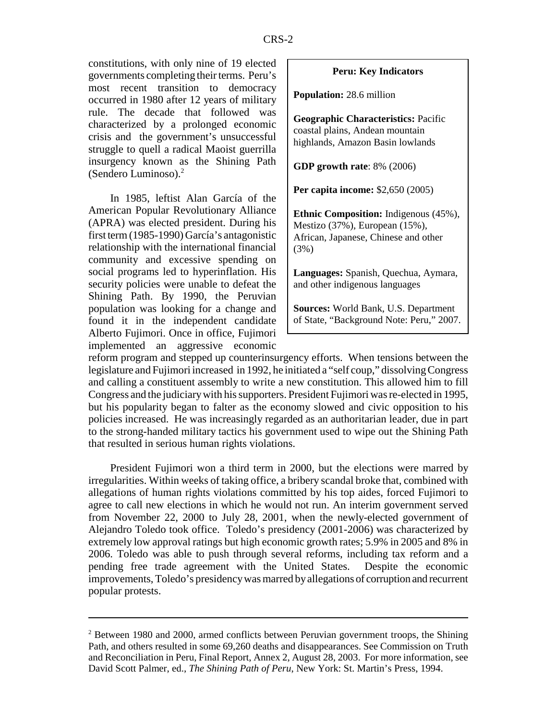constitutions, with only nine of 19 elected governments completing their terms. Peru's most recent transition to democracy occurred in 1980 after 12 years of military rule. The decade that followed was characterized by a prolonged economic crisis and the government's unsuccessful struggle to quell a radical Maoist guerrilla insurgency known as the Shining Path (Sendero Luminoso).2

In 1985, leftist Alan García of the American Popular Revolutionary Alliance (APRA) was elected president. During his first term (1985-1990) García's antagonistic relationship with the international financial community and excessive spending on social programs led to hyperinflation. His security policies were unable to defeat the Shining Path. By 1990, the Peruvian population was looking for a change and found it in the independent candidate Alberto Fujimori. Once in office, Fujimori implemented an aggressive economic

#### **Peru: Key Indicators**

**Population:** 28.6 million

**Geographic Characteristics:** Pacific coastal plains, Andean mountain highlands, Amazon Basin lowlands

**GDP growth rate**: 8% (2006)

**Per capita income:** \$2,650 (2005)

**Ethnic Composition:** Indigenous (45%), Mestizo (37%), European (15%), African, Japanese, Chinese and other (3%)

**Languages:** Spanish, Quechua, Aymara, and other indigenous languages

**Sources:** World Bank, U.S. Department of State, "Background Note: Peru," 2007.

reform program and stepped up counterinsurgency efforts. When tensions between the legislature and Fujimori increased in 1992, he initiated a "self coup," dissolving Congress and calling a constituent assembly to write a new constitution. This allowed him to fill Congress and the judiciary with his supporters. President Fujimori was re-elected in 1995, but his popularity began to falter as the economy slowed and civic opposition to his policies increased. He was increasingly regarded as an authoritarian leader, due in part to the strong-handed military tactics his government used to wipe out the Shining Path that resulted in serious human rights violations.

President Fujimori won a third term in 2000, but the elections were marred by irregularities. Within weeks of taking office, a bribery scandal broke that, combined with allegations of human rights violations committed by his top aides, forced Fujimori to agree to call new elections in which he would not run. An interim government served from November 22, 2000 to July 28, 2001, when the newly-elected government of Alejandro Toledo took office. Toledo's presidency (2001-2006) was characterized by extremely low approval ratings but high economic growth rates; 5.9% in 2005 and 8% in 2006. Toledo was able to push through several reforms, including tax reform and a pending free trade agreement with the United States. Despite the economic improvements, Toledo's presidency was marred by allegations of corruption and recurrent popular protests.

<sup>&</sup>lt;sup>2</sup> Between 1980 and 2000, armed conflicts between Peruvian government troops, the Shining Path, and others resulted in some 69,260 deaths and disappearances. See Commission on Truth and Reconciliation in Peru, Final Report, Annex 2, August 28, 2003. For more information, see David Scott Palmer, ed., *The Shining Path of Peru*, New York: St. Martin's Press, 1994.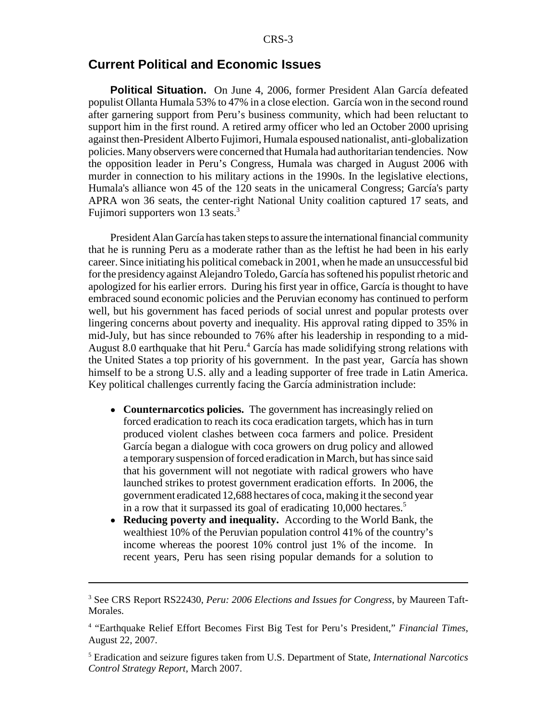### **Current Political and Economic Issues**

**Political Situation.** On June 4, 2006, former President Alan García defeated populist Ollanta Humala 53% to 47% in a close election. García won in the second round after garnering support from Peru's business community, which had been reluctant to support him in the first round. A retired army officer who led an October 2000 uprising against then-President Alberto Fujimori, Humala espoused nationalist, anti-globalization policies. Many observers were concerned that Humala had authoritarian tendencies. Now the opposition leader in Peru's Congress, Humala was charged in August 2006 with murder in connection to his military actions in the 1990s. In the legislative elections, Humala's alliance won 45 of the 120 seats in the unicameral Congress; García's party APRA won 36 seats, the center-right National Unity coalition captured 17 seats, and Fujimori supporters won 13 seats.<sup>3</sup>

President Alan García has taken steps to assure the international financial community that he is running Peru as a moderate rather than as the leftist he had been in his early career. Since initiating his political comeback in 2001, when he made an unsuccessful bid for the presidency against Alejandro Toledo, García has softened his populist rhetoric and apologized for his earlier errors. During his first year in office, García is thought to have embraced sound economic policies and the Peruvian economy has continued to perform well, but his government has faced periods of social unrest and popular protests over lingering concerns about poverty and inequality. His approval rating dipped to 35% in mid-July, but has since rebounded to 76% after his leadership in responding to a mid-August 8.0 earthquake that hit Peru.<sup>4</sup> García has made solidifying strong relations with the United States a top priority of his government. In the past year, García has shown himself to be a strong U.S. ally and a leading supporter of free trade in Latin America. Key political challenges currently facing the García administration include:

- Counternarcotics policies. The government has increasingly relied on forced eradication to reach its coca eradication targets, which has in turn produced violent clashes between coca farmers and police. President García began a dialogue with coca growers on drug policy and allowed a temporary suspension of forced eradication in March, but has since said that his government will not negotiate with radical growers who have launched strikes to protest government eradication efforts. In 2006, the government eradicated 12,688 hectares of coca, making it the second year in a row that it surpassed its goal of eradicating 10,000 hectares.<sup>5</sup>
- ! **Reducing poverty and inequality.** According to the World Bank, the wealthiest 10% of the Peruvian population control 41% of the country's income whereas the poorest 10% control just 1% of the income. In recent years, Peru has seen rising popular demands for a solution to

<sup>3</sup> See CRS Report RS22430, *Peru: 2006 Elections and Issues for Congress*, by Maureen Taft-Morales.

<sup>4</sup> "Earthquake Relief Effort Becomes First Big Test for Peru's President," *Financial Times*, August 22, 2007.

<sup>5</sup> Eradication and seizure figures taken from U.S. Department of State, *International Narcotics Control Strategy Report*, March 2007.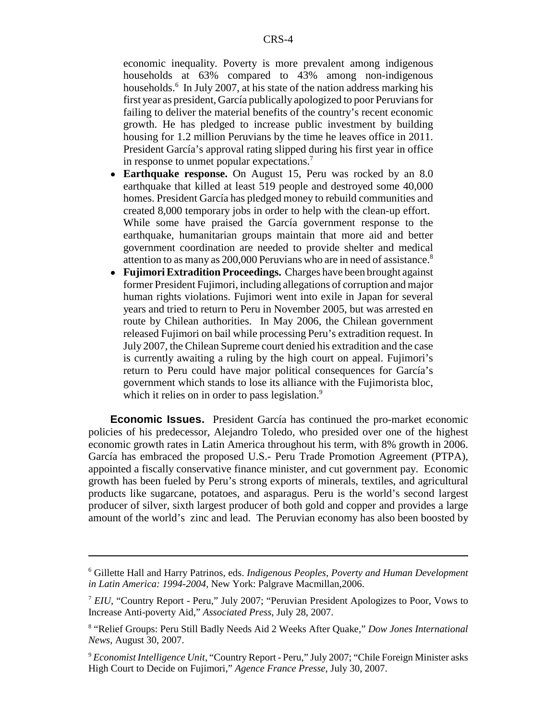economic inequality. Poverty is more prevalent among indigenous households at 63% compared to 43% among non-indigenous households.<sup>6</sup> In July 2007, at his state of the nation address marking his first year as president, García publically apologized to poor Peruvians for failing to deliver the material benefits of the country's recent economic growth. He has pledged to increase public investment by building housing for 1.2 million Peruvians by the time he leaves office in 2011. President García's approval rating slipped during his first year in office in response to unmet popular expectations.7

- ! **Earthquake response.** On August 15, Peru was rocked by an 8.0 earthquake that killed at least 519 people and destroyed some 40,000 homes. President García has pledged money to rebuild communities and created 8,000 temporary jobs in order to help with the clean-up effort. While some have praised the García government response to the earthquake, humanitarian groups maintain that more aid and better government coordination are needed to provide shelter and medical attention to as many as 200,000 Peruvians who are in need of assistance.<sup>8</sup>
- ! **Fujimori Extradition Proceedings.** Charges have been brought against former President Fujimori, including allegations of corruption and major human rights violations. Fujimori went into exile in Japan for several years and tried to return to Peru in November 2005, but was arrested en route by Chilean authorities. In May 2006, the Chilean government released Fujimori on bail while processing Peru's extradition request. In July 2007, the Chilean Supreme court denied his extradition and the case is currently awaiting a ruling by the high court on appeal. Fujimori's return to Peru could have major political consequences for García's government which stands to lose its alliance with the Fujimorista bloc, which it relies on in order to pass legislation.<sup>9</sup>

**Economic Issues.** President García has continued the pro-market economic policies of his predecessor, Alejandro Toledo, who presided over one of the highest economic growth rates in Latin America throughout his term, with 8% growth in 2006. García has embraced the proposed U.S.- Peru Trade Promotion Agreement (PTPA), appointed a fiscally conservative finance minister, and cut government pay. Economic growth has been fueled by Peru's strong exports of minerals, textiles, and agricultural products like sugarcane, potatoes, and asparagus. Peru is the world's second largest producer of silver, sixth largest producer of both gold and copper and provides a large amount of the world's zinc and lead. The Peruvian economy has also been boosted by

<sup>6</sup> Gillette Hall and Harry Patrinos, eds. *Indigenous Peoples, Poverty and Human Development in Latin America: 1994-2004,* New York: Palgrave Macmillan,2006.

<sup>7</sup> *EIU*, "Country Report - Peru," July 2007; "Peruvian President Apologizes to Poor, Vows to Increase Anti-poverty Aid," *Associated Press*, July 28, 2007.

<sup>8</sup> "Relief Groups: Peru Still Badly Needs Aid 2 Weeks After Quake," *Dow Jones International News*, August 30, 2007.

<sup>9</sup> *Economist Intelligence Unit*, "Country Report - Peru," July 2007; "Chile Foreign Minister asks High Court to Decide on Fujimori," *Agence France Presse*, July 30, 2007.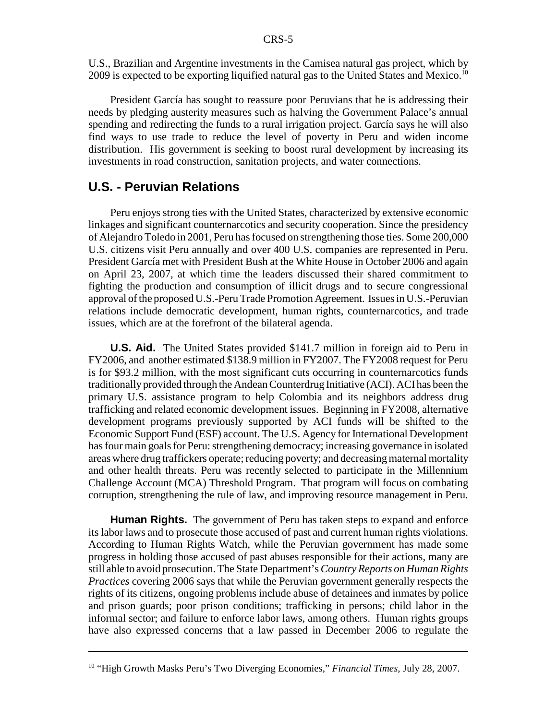U.S., Brazilian and Argentine investments in the Camisea natural gas project, which by 2009 is expected to be exporting liquified natural gas to the United States and Mexico.<sup>10</sup>

President García has sought to reassure poor Peruvians that he is addressing their needs by pledging austerity measures such as halving the Government Palace's annual spending and redirecting the funds to a rural irrigation project. García says he will also find ways to use trade to reduce the level of poverty in Peru and widen income distribution. His government is seeking to boost rural development by increasing its investments in road construction, sanitation projects, and water connections.

## **U.S. - Peruvian Relations**

Peru enjoys strong ties with the United States, characterized by extensive economic linkages and significant counternarcotics and security cooperation. Since the presidency of Alejandro Toledo in 2001, Peru has focused on strengthening those ties. Some 200,000 U.S. citizens visit Peru annually and over 400 U.S. companies are represented in Peru. President García met with President Bush at the White House in October 2006 and again on April 23, 2007, at which time the leaders discussed their shared commitment to fighting the production and consumption of illicit drugs and to secure congressional approval of the proposed U.S.-Peru Trade Promotion Agreement. Issues in U.S.-Peruvian relations include democratic development, human rights, counternarcotics, and trade issues, which are at the forefront of the bilateral agenda.

**U.S. Aid.** The United States provided \$141.7 million in foreign aid to Peru in FY2006, and another estimated \$138.9 million in FY2007. The FY2008 request for Peru is for \$93.2 million, with the most significant cuts occurring in counternarcotics funds traditionally provided through the Andean Counterdrug Initiative (ACI). ACI has been the primary U.S. assistance program to help Colombia and its neighbors address drug trafficking and related economic development issues. Beginning in FY2008, alternative development programs previously supported by ACI funds will be shifted to the Economic Support Fund (ESF) account. The U.S. Agency for International Development has four main goals for Peru: strengthening democracy; increasing governance in isolated areas where drug traffickers operate; reducing poverty; and decreasing maternal mortality and other health threats. Peru was recently selected to participate in the Millennium Challenge Account (MCA) Threshold Program. That program will focus on combating corruption, strengthening the rule of law, and improving resource management in Peru.

**Human Rights.** The government of Peru has taken steps to expand and enforce its labor laws and to prosecute those accused of past and current human rights violations. According to Human Rights Watch, while the Peruvian government has made some progress in holding those accused of past abuses responsible for their actions, many are still able to avoid prosecution. The State Department's *Country Reports on Human Rights Practices* covering 2006 says that while the Peruvian government generally respects the rights of its citizens, ongoing problems include abuse of detainees and inmates by police and prison guards; poor prison conditions; trafficking in persons; child labor in the informal sector; and failure to enforce labor laws, among others. Human rights groups have also expressed concerns that a law passed in December 2006 to regulate the

<sup>10 &</sup>quot;High Growth Masks Peru's Two Diverging Economies," *Financial Times*, July 28, 2007.